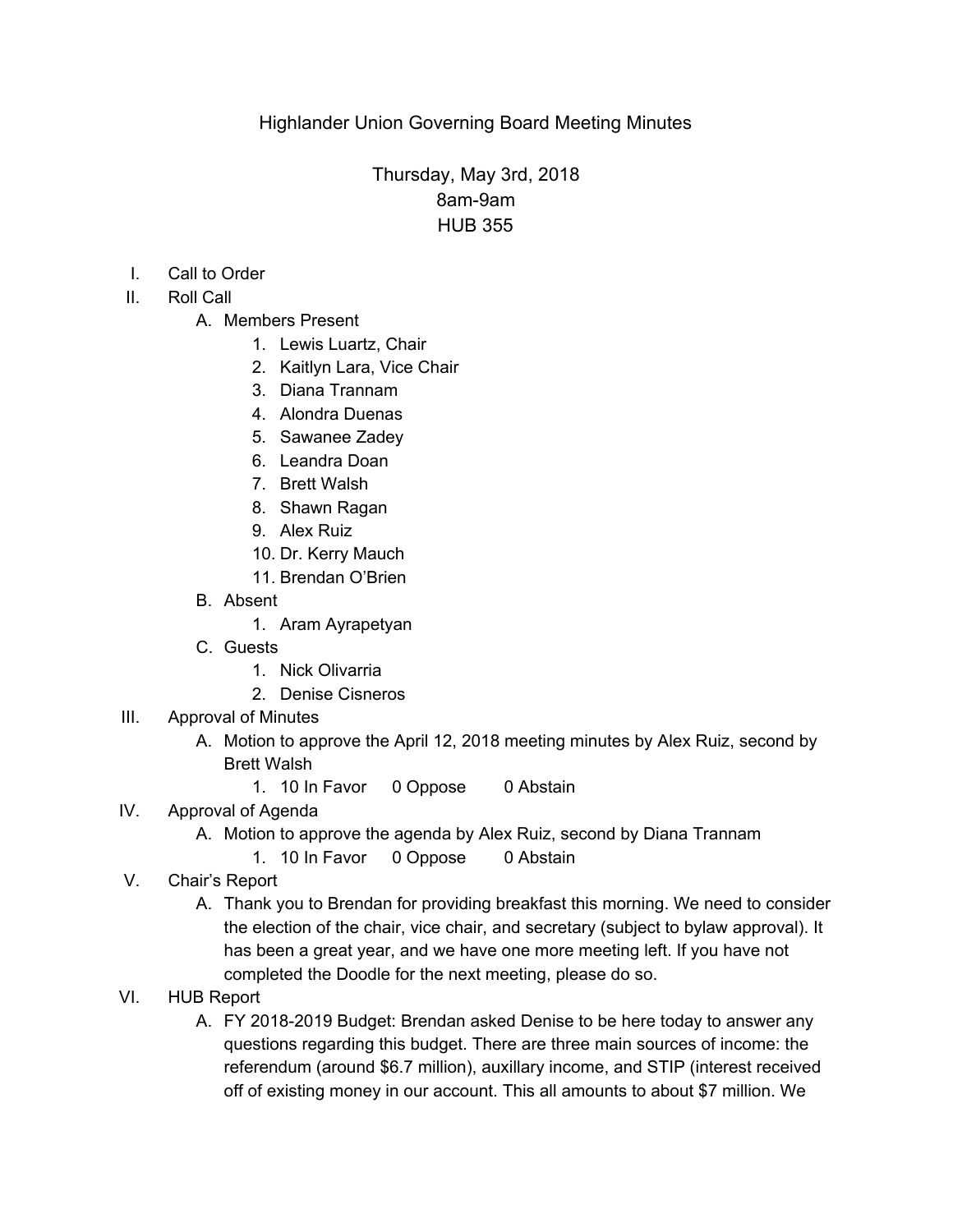## Thursday, May 3rd, 2018 8am-9am HUB 355

- I. Call to Order
- II. Roll Call
	- A. Members Present
		- 1. Lewis Luartz, Chair
		- 2. Kaitlyn Lara, Vice Chair
		- 3. Diana Trannam
		- 4. Alondra Duenas
		- 5. Sawanee Zadey
		- 6. Leandra Doan
		- 7. Brett Walsh
		- 8. Shawn Ragan
		- 9. Alex Ruiz
		- 10. Dr. Kerry Mauch
		- 11. Brendan O'Brien
	- B. Absent
		- 1. Aram Ayrapetyan
	- C. Guests
		- 1. Nick Olivarria
		- 2. Denise Cisneros
- III. Approval of Minutes
	- A. Motion to approve the April 12, 2018 meeting minutes by Alex Ruiz, second by Brett Walsh
		- 1. 10 In Favor 0 Oppose 0 Abstain
- IV. Approval of Agenda
	- A. Motion to approve the agenda by Alex Ruiz, second by Diana Trannam
		- 1. 10 In Favor 0 Oppose 0 Abstain
- V. Chair's Report
	- A. Thank you to Brendan for providing breakfast this morning. We need to consider the election of the chair, vice chair, and secretary (subject to bylaw approval). It has been a great year, and we have one more meeting left. If you have not completed the Doodle for the next meeting, please do so.
- VI. HUB Report
	- A. FY 2018-2019 Budget: Brendan asked Denise to be here today to answer any questions regarding this budget. There are three main sources of income: the referendum (around \$6.7 million), auxillary income, and STIP (interest received off of existing money in our account. This all amounts to about \$7 million. We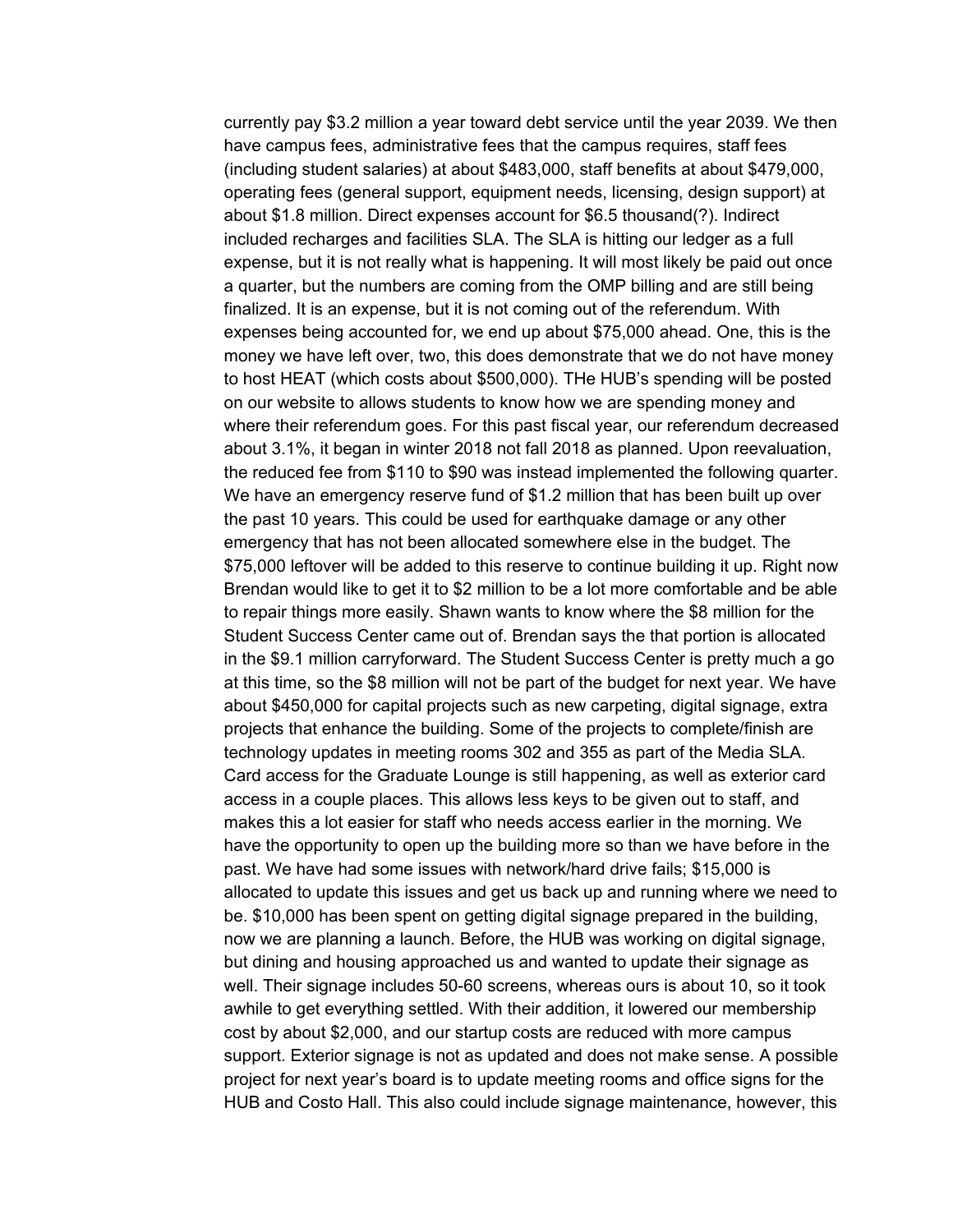currently pay \$3.2 million a year toward debt service until the year 2039. We then have campus fees, administrative fees that the campus requires, staff fees (including student salaries) at about \$483,000, staff benefits at about \$479,000, operating fees (general support, equipment needs, licensing, design support) at about \$1.8 million. Direct expenses account for \$6.5 thousand(?). Indirect included recharges and facilities SLA. The SLA is hitting our ledger as a full expense, but it is not really what is happening. It will most likely be paid out once a quarter, but the numbers are coming from the OMP billing and are still being finalized. It is an expense, but it is not coming out of the referendum. With expenses being accounted for, we end up about \$75,000 ahead. One, this is the money we have left over, two, this does demonstrate that we do not have money to host HEAT (which costs about \$500,000). THe HUB's spending will be posted on our website to allows students to know how we are spending money and where their referendum goes. For this past fiscal year, our referendum decreased about 3.1%, it began in winter 2018 not fall 2018 as planned. Upon reevaluation, the reduced fee from \$110 to \$90 was instead implemented the following quarter. We have an emergency reserve fund of \$1.2 million that has been built up over the past 10 years. This could be used for earthquake damage or any other emergency that has not been allocated somewhere else in the budget. The \$75,000 leftover will be added to this reserve to continue building it up. Right now Brendan would like to get it to \$2 million to be a lot more comfortable and be able to repair things more easily. Shawn wants to know where the \$8 million for the Student Success Center came out of. Brendan says the that portion is allocated in the \$9.1 million carryforward. The Student Success Center is pretty much a go at this time, so the \$8 million will not be part of the budget for next year. We have about \$450,000 for capital projects such as new carpeting, digital signage, extra projects that enhance the building. Some of the projects to complete/finish are technology updates in meeting rooms 302 and 355 as part of the Media SLA. Card access for the Graduate Lounge is still happening, as well as exterior card access in a couple places. This allows less keys to be given out to staff, and makes this a lot easier for staff who needs access earlier in the morning. We have the opportunity to open up the building more so than we have before in the past. We have had some issues with network/hard drive fails; \$15,000 is allocated to update this issues and get us back up and running where we need to be. \$10,000 has been spent on getting digital signage prepared in the building, now we are planning a launch. Before, the HUB was working on digital signage, but dining and housing approached us and wanted to update their signage as well. Their signage includes 50-60 screens, whereas ours is about 10, so it took awhile to get everything settled. With their addition, it lowered our membership cost by about \$2,000, and our startup costs are reduced with more campus support. Exterior signage is not as updated and does not make sense. A possible project for next year's board is to update meeting rooms and office signs for the HUB and Costo Hall. This also could include signage maintenance, however, this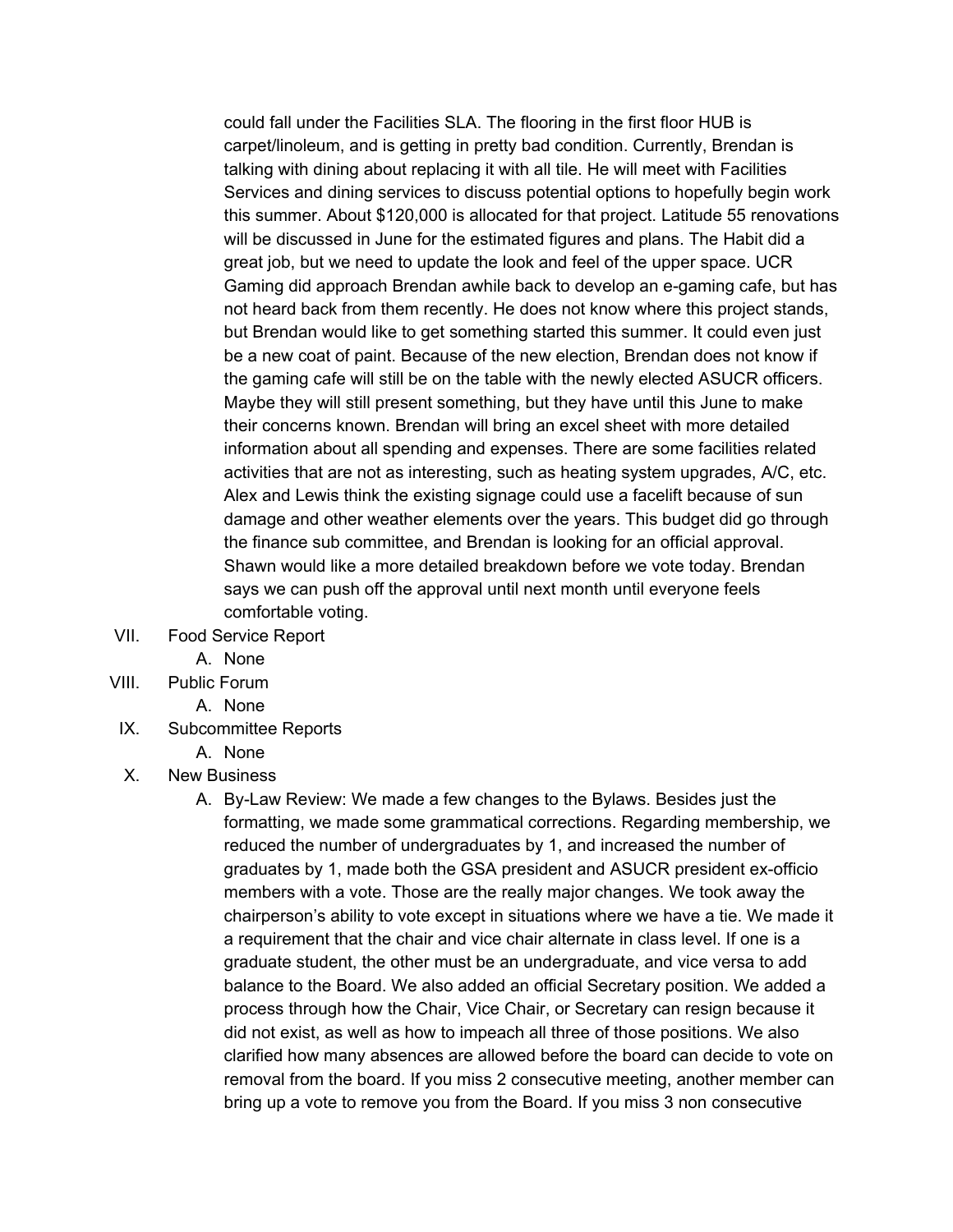could fall under the Facilities SLA. The flooring in the first floor HUB is carpet/linoleum, and is getting in pretty bad condition. Currently, Brendan is talking with dining about replacing it with all tile. He will meet with Facilities Services and dining services to discuss potential options to hopefully begin work this summer. About \$120,000 is allocated for that project. Latitude 55 renovations will be discussed in June for the estimated figures and plans. The Habit did a great job, but we need to update the look and feel of the upper space. UCR Gaming did approach Brendan awhile back to develop an e-gaming cafe, but has not heard back from them recently. He does not know where this project stands, but Brendan would like to get something started this summer. It could even just be a new coat of paint. Because of the new election, Brendan does not know if the gaming cafe will still be on the table with the newly elected ASUCR officers. Maybe they will still present something, but they have until this June to make their concerns known. Brendan will bring an excel sheet with more detailed information about all spending and expenses. There are some facilities related activities that are not as interesting, such as heating system upgrades, A/C, etc. Alex and Lewis think the existing signage could use a facelift because of sun damage and other weather elements over the years. This budget did go through the finance sub committee, and Brendan is looking for an official approval. Shawn would like a more detailed breakdown before we vote today. Brendan says we can push off the approval until next month until everyone feels comfortable voting.

- VII. Food Service Report
	- A. None
- VIII. Public Forum
	- A. None
- IX. Subcommittee Reports
	- A. None
- X. New Business
	- A. By-Law Review: We made a few changes to the Bylaws. Besides just the formatting, we made some grammatical corrections. Regarding membership, we reduced the number of undergraduates by 1, and increased the number of graduates by 1, made both the GSA president and ASUCR president ex-officio members with a vote. Those are the really major changes. We took away the chairperson's ability to vote except in situations where we have a tie. We made it a requirement that the chair and vice chair alternate in class level. If one is a graduate student, the other must be an undergraduate, and vice versa to add balance to the Board. We also added an official Secretary position. We added a process through how the Chair, Vice Chair, or Secretary can resign because it did not exist, as well as how to impeach all three of those positions. We also clarified how many absences are allowed before the board can decide to vote on removal from the board. If you miss 2 consecutive meeting, another member can bring up a vote to remove you from the Board. If you miss 3 non consecutive